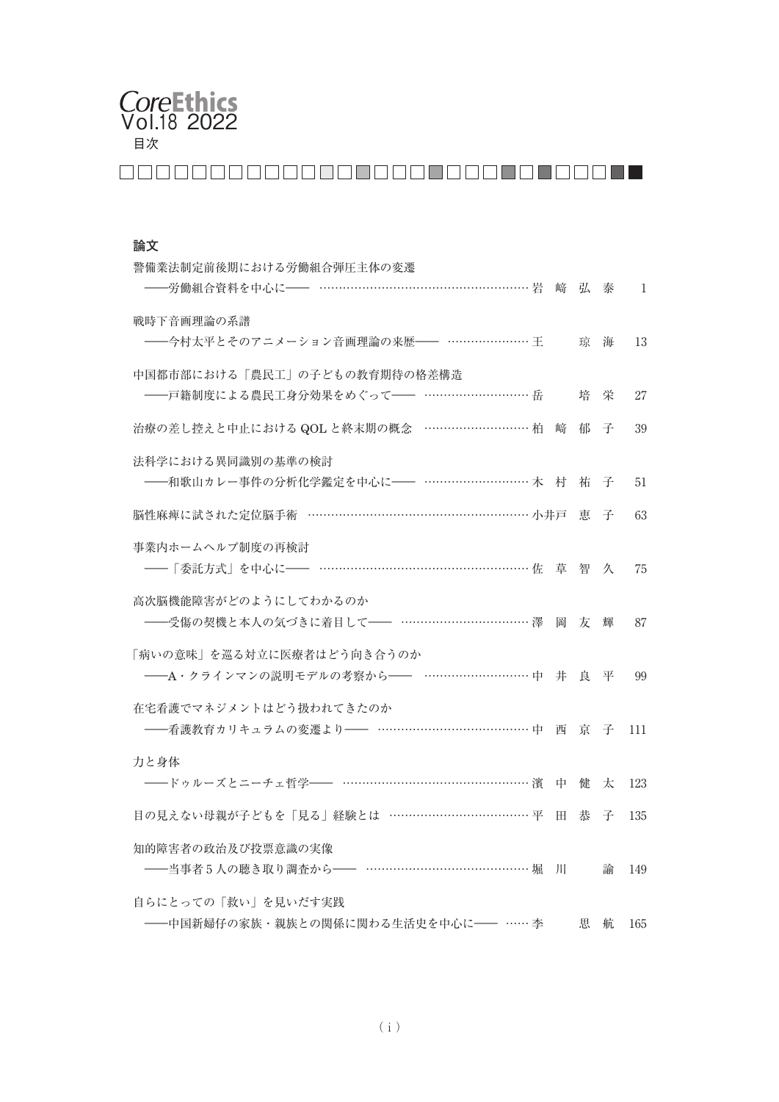# 目次 CoreEthics<br>Vol.18 2022

# 

## **論文**

| 警備業法制定前後期における労働組合弾圧主体の変遷<br>-労働組合資料を中心に―― ……………………………………………… 岩         |    | 崎 弘 泰 |   | -1  |
|------------------------------------------------------------------------|----|-------|---|-----|
| 戦時下音画理論の系譜<br>--会村太平とそのアニメーション音画理論の来歴 -- ………………… 王                     |    | 琼     | 海 | 13  |
| 中国都市部における「農民工」の子どもの教育期待の格差構造<br>-- 戸籍制度による農民工身分効果をめぐって -- ………………………… 岳 |    | 培     | 栄 | 27  |
| 治療の差し控えと中止における QOL と終末期の概念 ……………………… 柏                                 | 崹  | 郁     | 子 | 39  |
| 法科学における異同識別の基準の検討                                                      |    | 祐子子   |   | 51  |
| 脳性麻痺に試された定位脳手術 ………………………………………………… 小井戸                                 |    | 恵     | 子 | 63  |
| 事業内ホームヘルプ制度の再検討                                                        | 草  | 智     | 久 | 75  |
| 高次脳機能障害がどのようにしてわかるのか<br>---受傷の契機と本人の気づきに着目して-- …………………………… 澤           | 岡  | 友     | 輝 | 87  |
| 「病いの意味」を巡る対立に医療者はどう向き合うのか<br>-- A·クラインマンの説明モデルの考察から-- ………………………… 中 井   |    | 良の平   |   | 99  |
| 在宅看護でマネジメントはどう扱われてきたのか<br>----看護教育カリキュラムの変遷より------ ………………………………………中 西 |    | 一京 子  |   | 111 |
| 力と身体<br>-- ドゥルーズとニーチェ哲学-- ………………………………………… 濱                           | 中  | 健     | 太 | 123 |
| 目の見えない母親が子どもを「見る」経験とは ……………………………… 平                                   | H. | 恭     | 子 | 135 |
| 知的障害者の政治及び投票意識の実像<br>---当事者5人の聴き取り調査から-- …………………………………… 堀              | JH |       | 諭 | 149 |
| 自らにとっての「救い」を見いだす実践<br>−中国新婦仔の家族・親族との関係に関わる生活史を中心に── …… 李               |    | 思     | 航 | 165 |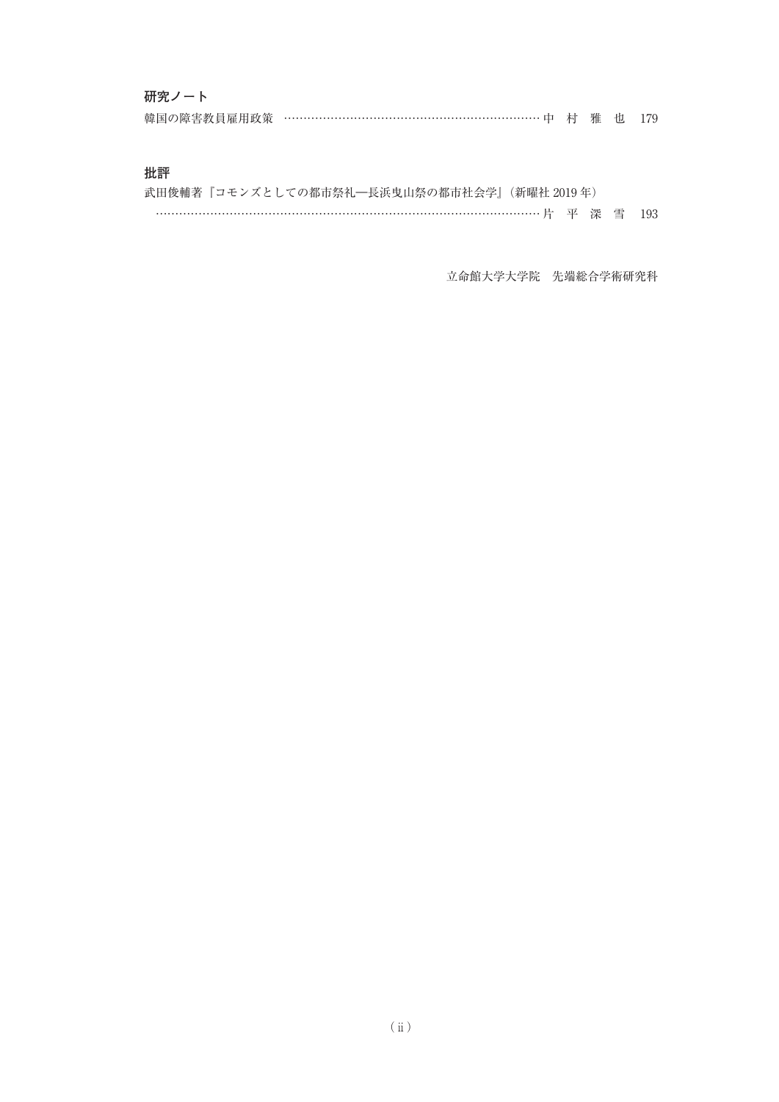## **研究ノート**

| 韓国の障害教員雇用政策 …………………………………………………………… 中 村 雅 也 179 |  |  |  |
|-------------------------------------------------|--|--|--|
|                                                 |  |  |  |

## **批評**

|--|--|--|--|--|--|

立命館大学大学院 先端総合学術研究科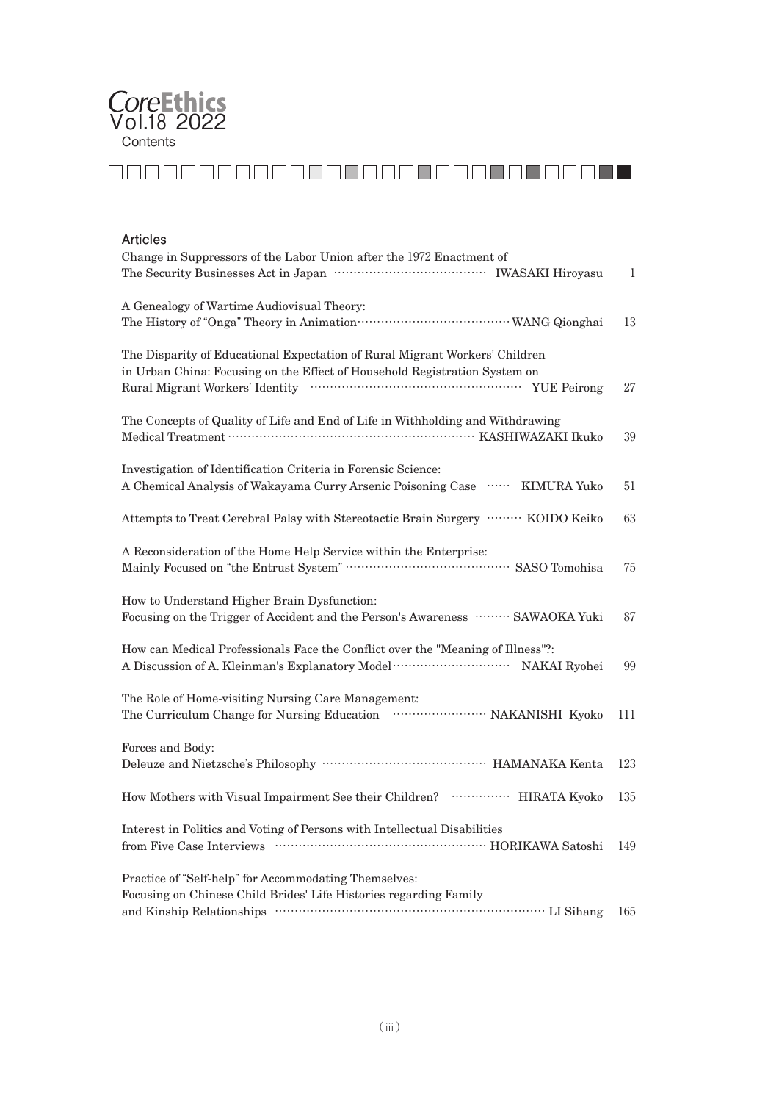

# 

#### **Articles**

| Change in Suppressors of the Labor Union after the 1972 Enactment of                                                                                      | 1   |
|-----------------------------------------------------------------------------------------------------------------------------------------------------------|-----|
| A Genealogy of Wartime Audiovisual Theory:                                                                                                                | 13  |
| The Disparity of Educational Expectation of Rural Migrant Workers' Children<br>in Urban China: Focusing on the Effect of Household Registration System on | 27  |
| The Concepts of Quality of Life and End of Life in Withholding and Withdrawing                                                                            | 39  |
| Investigation of Identification Criteria in Forensic Science:<br>A Chemical Analysis of Wakayama Curry Arsenic Poisoning Case  KIMURA Yuko                | 51  |
| Attempts to Treat Cerebral Palsy with Stereotactic Brain Surgery ········· KOIDO Keiko                                                                    | 63  |
| A Reconsideration of the Home Help Service within the Enterprise:<br>Mainly Focused on "the Entrust System" …………………………………… SASO Tomohisa                  | 75  |
| How to Understand Higher Brain Dysfunction:<br>Focusing on the Trigger of Accident and the Person's Awareness ……… SAWAOKA Yuki                            | 87  |
| How can Medical Professionals Face the Conflict over the "Meaning of Illness"?:                                                                           | 99  |
| The Role of Home-visiting Nursing Care Management:<br>The Curriculum Change for Nursing Education  NAKANISHI Kyoko                                        | 111 |
| Forces and Body:                                                                                                                                          | 123 |
| How Mothers with Visual Impairment See their Children?  HIRATA Kyoko                                                                                      | 135 |
| Interest in Politics and Voting of Persons with Intellectual Disabilities<br>from Five Case Interviews Material Communication and HORIKAWA Satoshi        | 149 |
| Practice of "Self-help" for Accommodating Themselves:<br>Focusing on Chinese Child Brides' Life Histories regarding Family                                | 165 |